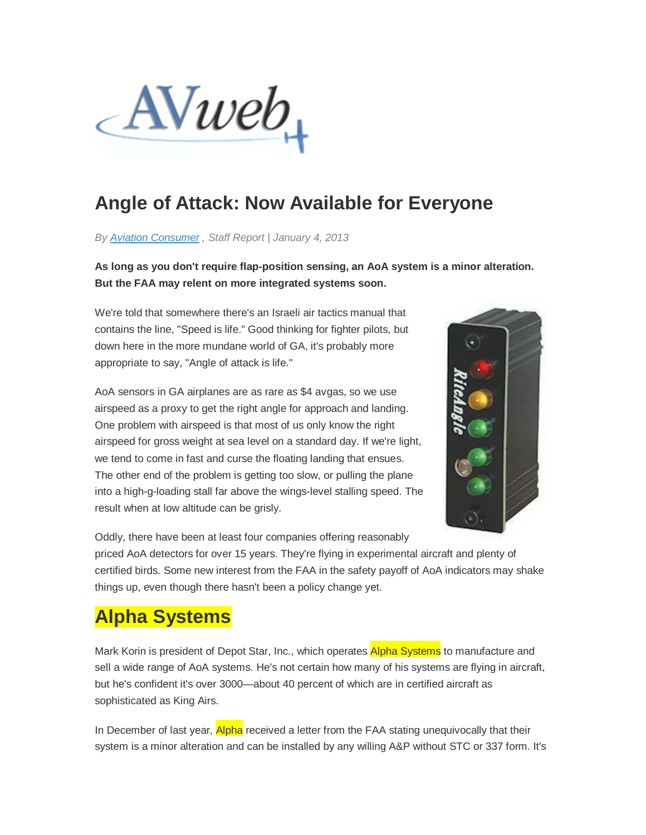

### **Angle of Attack: Now Available for Everyone**

*By [Aviation Consumer](http://www.avweb.com/db/fdc.collector?client_id=avweb&form_id=maileditform&link_id=304) , Staff Report* | *January 4, 2013*

**As long as you don't require flap-position sensing, an AoA system is a minor alteration. But the FAA may relent on more integrated systems soon.**

We're told that somewhere there's an Israeli air tactics manual that contains the line, "Speed is life." Good thinking for fighter pilots, but down here in the more mundane world of GA, it's probably more appropriate to say, "Angle of attack is life."

AoA sensors in GA airplanes are as rare as \$4 avgas, so we use airspeed as a proxy to get the right angle for approach and landing. One problem with airspeed is that most of us only know the right airspeed for gross weight at sea level on a standard day. If we're light, we tend to come in fast and curse the floating landing that ensues. The other end of the problem is getting too slow, or pulling the plane into a high-g-loading stall far above the wings-level stalling speed. The result when at low altitude can be grisly.



Oddly, there have been at least four companies offering reasonably

priced AoA detectors for over 15 years. They're flying in experimental aircraft and plenty of certified birds. Some new interest from the FAA in the safety payoff of AoA indicators may shake things up, even though there hasn't been a policy change yet.

#### **Alpha Systems**

Mark Korin is president of Depot Star, Inc., which operates Alpha Systems to manufacture and sell a wide range of AoA systems. He's not certain how many of his systems are flying in aircraft, but he's confident it's over 3000—about 40 percent of which are in certified aircraft as sophisticated as King Airs.

In December of last year, **Alpha** received a letter from the FAA stating unequivocally that their system is a minor alteration and can be installed by any willing A&P without STC or 337 form. It's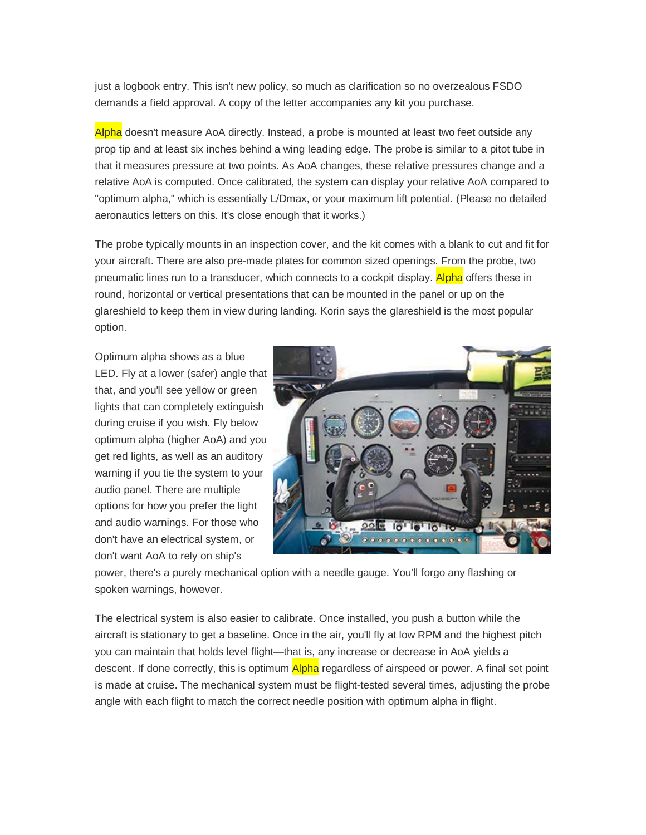just a logbook entry. This isn't new policy, so much as clarification so no overzealous FSDO demands a field approval. A copy of the letter accompanies any kit you purchase.

Alpha doesn't measure AoA directly. Instead, a probe is mounted at least two feet outside any prop tip and at least six inches behind a wing leading edge. The probe is similar to a pitot tube in that it measures pressure at two points. As AoA changes, these relative pressures change and a relative AoA is computed. Once calibrated, the system can display your relative AoA compared to "optimum alpha," which is essentially L/Dmax, or your maximum lift potential. (Please no detailed aeronautics letters on this. It's close enough that it works.)

The probe typically mounts in an inspection cover, and the kit comes with a blank to cut and fit for your aircraft. There are also pre-made plates for common sized openings. From the probe, two pneumatic lines run to a transducer, which connects to a cockpit display. Alpha offers these in round, horizontal or vertical presentations that can be mounted in the panel or up on the glareshield to keep them in view during landing. Korin says the glareshield is the most popular option.

Optimum alpha shows as a blue LED. Fly at a lower (safer) angle that that, and you'll see yellow or green lights that can completely extinguish during cruise if you wish. Fly below optimum alpha (higher AoA) and you get red lights, as well as an auditory warning if you tie the system to your audio panel. There are multiple options for how you prefer the light and audio warnings. For those who don't have an electrical system, or don't want AoA to rely on ship's



power, there's a purely mechanical option with a needle gauge. You'll forgo any flashing or spoken warnings, however.

The electrical system is also easier to calibrate. Once installed, you push a button while the aircraft is stationary to get a baseline. Once in the air, you'll fly at low RPM and the highest pitch you can maintain that holds level flight—that is, any increase or decrease in AoA yields a descent. If done correctly, this is optimum Alpha regardless of airspeed or power. A final set point is made at cruise. The mechanical system must be flight-tested several times, adjusting the probe angle with each flight to match the correct needle position with optimum alpha in flight.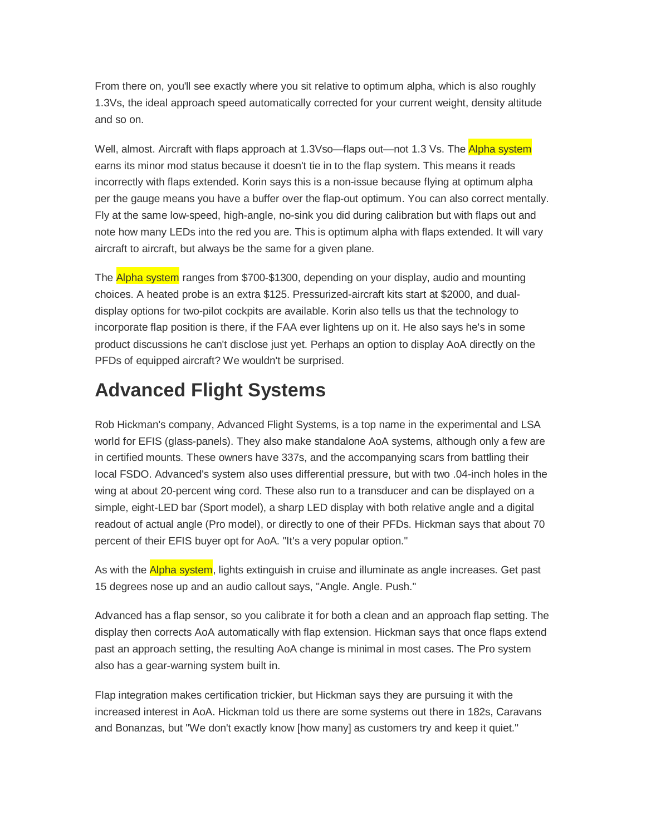From there on, you'll see exactly where you sit relative to optimum alpha, which is also roughly 1.3Vs, the ideal approach speed automatically corrected for your current weight, density altitude and so on.

Well, almost. Aircraft with flaps approach at 1.3Vso—flaps out—not 1.3 Vs. The **Alpha system** earns its minor mod status because it doesn't tie in to the flap system. This means it reads incorrectly with flaps extended. Korin says this is a non-issue because flying at optimum alpha per the gauge means you have a buffer over the flap-out optimum. You can also correct mentally. Fly at the same low-speed, high-angle, no-sink you did during calibration but with flaps out and note how many LEDs into the red you are. This is optimum alpha with flaps extended. It will vary aircraft to aircraft, but always be the same for a given plane.

The **Alpha system** ranges from \$700-\$1300, depending on your display, audio and mounting choices. A heated probe is an extra \$125. Pressurized-aircraft kits start at \$2000, and dualdisplay options for two-pilot cockpits are available. Korin also tells us that the technology to incorporate flap position is there, if the FAA ever lightens up on it. He also says he's in some product discussions he can't disclose just yet. Perhaps an option to display AoA directly on the PFDs of equipped aircraft? We wouldn't be surprised.

#### **Advanced Flight Systems**

Rob Hickman's company, Advanced Flight Systems, is a top name in the experimental and LSA world for EFIS (glass-panels). They also make standalone AoA systems, although only a few are in certified mounts. These owners have 337s, and the accompanying scars from battling their local FSDO. Advanced's system also uses differential pressure, but with two .04-inch holes in the wing at about 20-percent wing cord. These also run to a transducer and can be displayed on a simple, eight-LED bar (Sport model), a sharp LED display with both relative angle and a digital readout of actual angle (Pro model), or directly to one of their PFDs. Hickman says that about 70 percent of their EFIS buyer opt for AoA. "It's a very popular option."

As with the **Alpha system**, lights extinguish in cruise and illuminate as angle increases. Get past 15 degrees nose up and an audio callout says, "Angle. Angle. Push."

Advanced has a flap sensor, so you calibrate it for both a clean and an approach flap setting. The display then corrects AoA automatically with flap extension. Hickman says that once flaps extend past an approach setting, the resulting AoA change is minimal in most cases. The Pro system also has a gear-warning system built in.

Flap integration makes certification trickier, but Hickman says they are pursuing it with the increased interest in AoA. Hickman told us there are some systems out there in 182s, Caravans and Bonanzas, but "We don't exactly know [how many] as customers try and keep it quiet."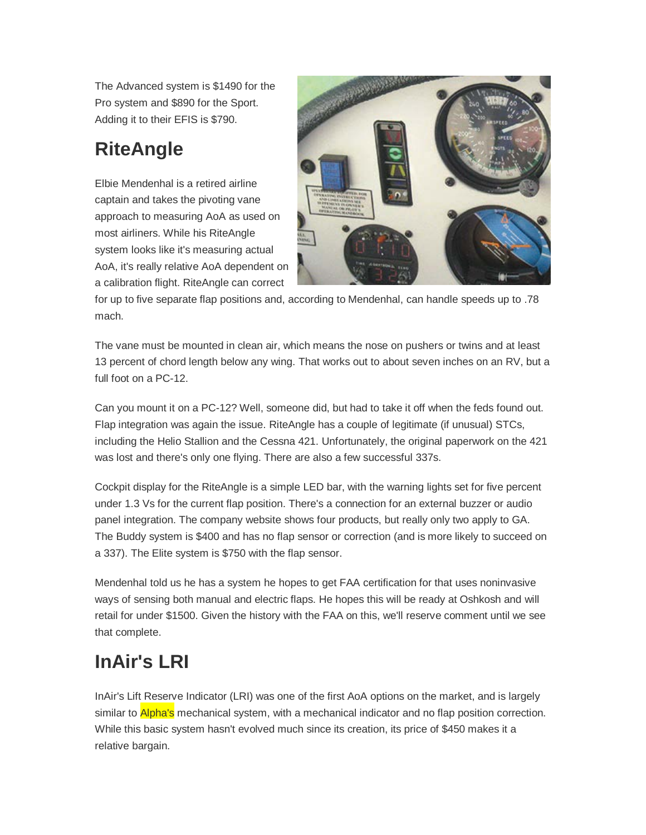The Advanced system is \$1490 for the Pro system and \$890 for the Sport. Adding it to their EFIS is \$790.

# **RiteAngle**

Elbie Mendenhal is a retired airline captain and takes the pivoting vane approach to measuring AoA as used on most airliners. While his RiteAngle system looks like it's measuring actual AoA, it's really relative AoA dependent on a calibration flight. RiteAngle can correct



for up to five separate flap positions and, according to Mendenhal, can handle speeds up to .78 mach.

The vane must be mounted in clean air, which means the nose on pushers or twins and at least 13 percent of chord length below any wing. That works out to about seven inches on an RV, but a full foot on a PC-12.

Can you mount it on a PC-12? Well, someone did, but had to take it off when the feds found out. Flap integration was again the issue. RiteAngle has a couple of legitimate (if unusual) STCs, including the Helio Stallion and the Cessna 421. Unfortunately, the original paperwork on the 421 was lost and there's only one flying. There are also a few successful 337s.

Cockpit display for the RiteAngle is a simple LED bar, with the warning lights set for five percent under 1.3 Vs for the current flap position. There's a connection for an external buzzer or audio panel integration. The company website shows four products, but really only two apply to GA. The Buddy system is \$400 and has no flap sensor or correction (and is more likely to succeed on a 337). The Elite system is \$750 with the flap sensor.

Mendenhal told us he has a system he hopes to get FAA certification for that uses noninvasive ways of sensing both manual and electric flaps. He hopes this will be ready at Oshkosh and will retail for under \$1500. Given the history with the FAA on this, we'll reserve comment until we see that complete.

# **InAir's LRI**

InAir's Lift Reserve Indicator (LRI) was one of the first AoA options on the market, and is largely similar to **Alpha's** mechanical system, with a mechanical indicator and no flap position correction. While this basic system hasn't evolved much since its creation, its price of \$450 makes it a relative bargain.